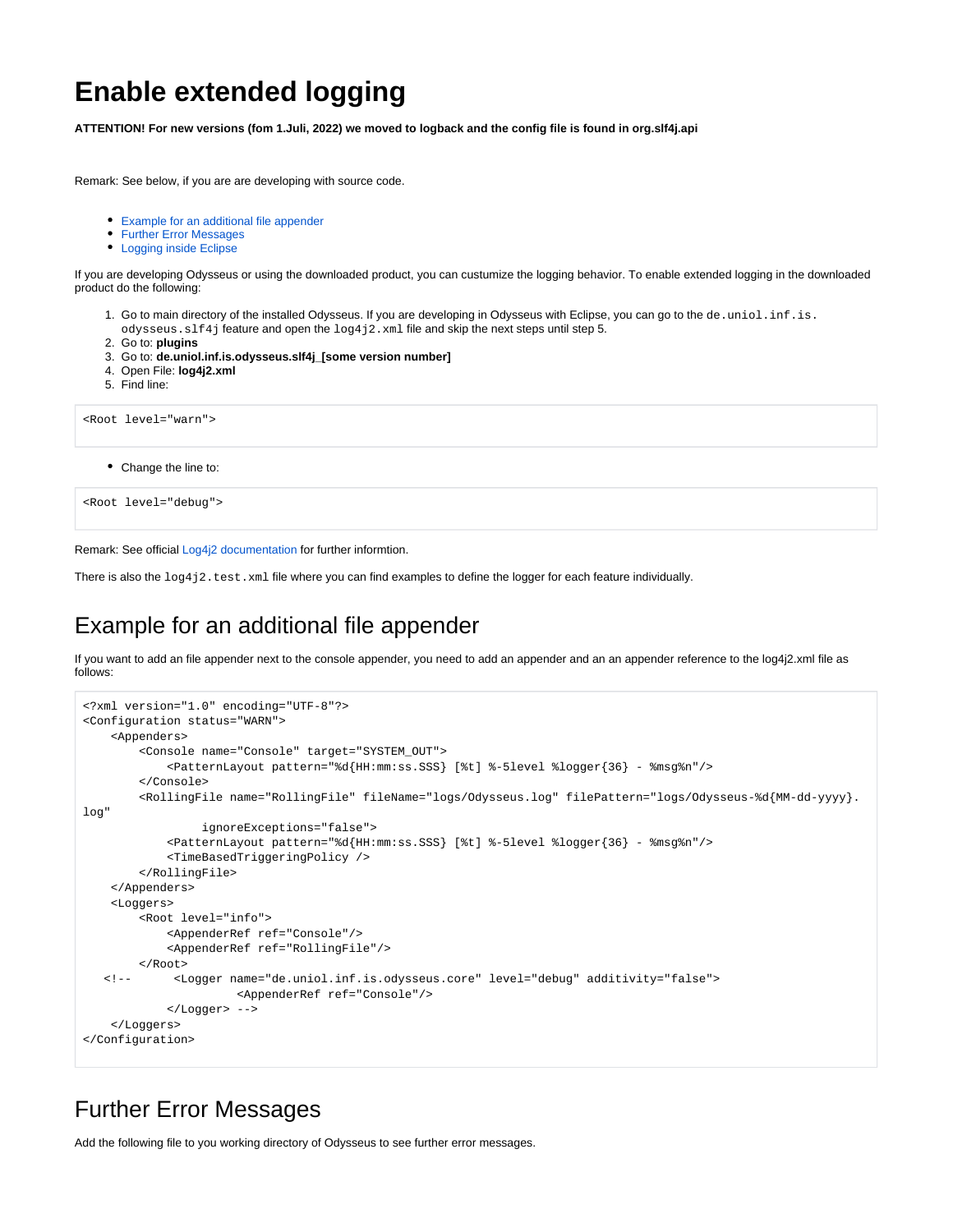## **Enable extended logging**

**ATTENTION! For new versions (fom 1.Juli, 2022) we moved to logback and the config file is found in org.slf4j.api**

Remark: See below, if you are are developing with source code.

- [Example for an additional file appender](#page-0-0)
- [Further Error Messages](#page-0-1)
- [Logging inside Eclipse](#page-1-0)

If you are developing Odysseus or using the downloaded product, you can custumize the logging behavior. To enable extended logging in the downloaded product do the following:

- 1. Go to main directory of the installed Odysseus. If you are developing in Odysseus with Eclipse, you can go to the de.uniol.inf.is. odysseus. slf4j feature and open the  $log4j2$ . xml file and skip the next steps until step 5.
- 2. Go to: **plugins**
- 3. Go to: **de.uniol.inf.is.odysseus.slf4j\_[some version number]**
- 4. Open File: **log4j2.xml**
- 5. Find line:

```
<Root level="warn">
```
Change the line to:

```
<Root level="debug">
```
Remark: See official [Log4j2 documentation](https://logging.apache.org/log4j/2.x/manual/configuration.html) for further informtion.

There is also the  $\log_4$ j2.test.xml file where you can find examples to define the logger for each feature individually.

## <span id="page-0-0"></span>Example for an additional file appender

If you want to add an file appender next to the console appender, you need to add an appender and an an appender reference to the log4j2.xml file as follows:

```
<?xml version="1.0" encoding="UTF-8"?>
<Configuration status="WARN">
    <Appenders>
         <Console name="Console" target="SYSTEM_OUT">
             <PatternLayout pattern="%d{HH:mm:ss.SSS} [%t] %-5level %logger{36} - %msg%n"/>
        </Console>
        <RollingFile name="RollingFile" fileName="logs/Odysseus.log" filePattern="logs/Odysseus-%d{MM-dd-yyyy}.
log"
                  ignoreExceptions="false">
             <PatternLayout pattern="%d{HH:mm:ss.SSS} [%t] %-5level %logger{36} - %msg%n"/>
             <TimeBasedTriggeringPolicy />
        </RollingFile>
    </Appenders>
     <Loggers>
         <Root level="info">
             <AppenderRef ref="Console"/>
             <AppenderRef ref="RollingFile"/>
        </Root>
    <!-- <Logger name="de.uniol.inf.is.odysseus.core" level="debug" additivity="false">
                       <AppenderRef ref="Console"/>
             </Logger> -->
    </Loggers>
</Configuration>
```
## <span id="page-0-1"></span>Further Error Messages

Add the following file to you working directory of Odysseus to see further error messages.